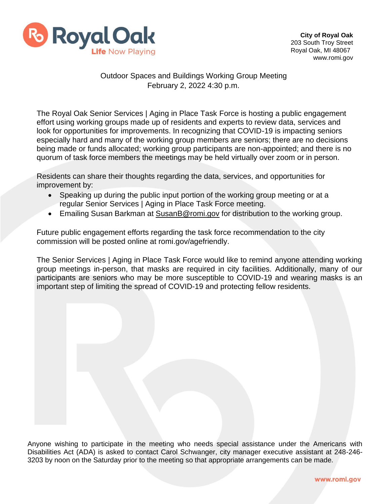

## Outdoor Spaces and Buildings Working Group Meeting February 2, 2022 4:30 p.m.

The Royal Oak Senior Services | Aging in Place Task Force is hosting a public engagement effort using working groups made up of residents and experts to review data, services and look for opportunities for improvements. In recognizing that COVID-19 is impacting seniors especially hard and many of the working group members are seniors; there are no decisions being made or funds allocated; working group participants are non-appointed; and there is no quorum of task force members the meetings may be held virtually over zoom or in person.

Residents can share their thoughts regarding the data, services, and opportunities for improvement by:

- Speaking up during the public input portion of the working group meeting or at a regular Senior Services | Aging in Place Task Force meeting.
- Emailing Susan Barkman at [SusanB@romi.gov](mailto:SusanB@romi.gov) for distribution to the working group.

Future public engagement efforts regarding the task force recommendation to the city commission will be posted online at romi.gov/agefriendly.

The Senior Services | Aging in Place Task Force would like to remind anyone attending working group meetings in-person, that masks are required in city facilities. Additionally, many of our participants are seniors who may be more susceptible to COVID-19 and wearing masks is an important step of limiting the spread of COVID-19 and protecting fellow residents.

Anyone wishing to participate in the meeting who needs special assistance under the Americans with Disabilities Act (ADA) is asked to contact Carol Schwanger, city manager executive assistant at 248-246- 3203 by noon on the Saturday prior to the meeting so that appropriate arrangements can be made.